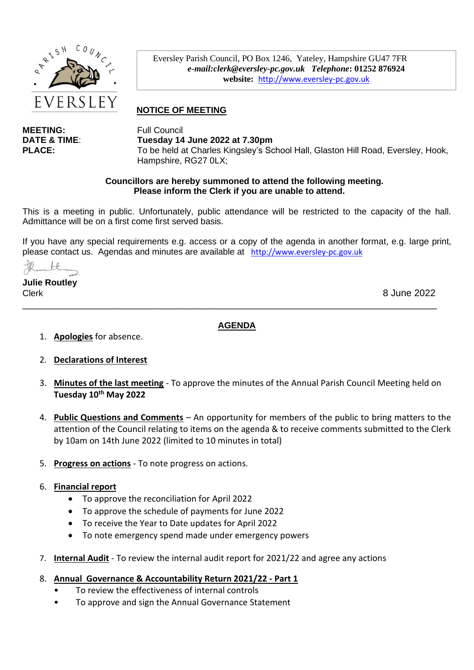

**MEETING:** Full Council

Eversley Parish Council, PO Box 1246, Yateley, Hampshire GU47 7FR *e-mail:clerk@eversley-pc.gov.uk**Telephone***: 01252 876924 website:** [http://www.eversley-pc.gov.uk](http://www.eversley-pc.gov.uk/)

# **NOTICE OF MEETING**

**DATE & TIME**: **Tuesday 14 June 2022 at 7.30pm** PLACE: To be held at Charles Kingsley's School Hall, Glaston Hill Road, Eversley, Hook, Hampshire, RG27 0LX;

#### **Councillors are hereby summoned to attend the following meeting. Please inform the Clerk if you are unable to attend.**

This is a meeting in public. Unfortunately, public attendance will be restricted to the capacity of the hall. Admittance will be on a first come first served basis.

If you have any special requirements e.g. access or a copy of the agenda in another format, e.g. large print, please contact us. Agendas and minutes are available at [http://www.eversley-pc.gov.uk](http://www.eversley-pc.gov.uk/)

**Julie Routley** Clerk 8 June 2022

**AGENDA**

\_\_\_\_\_\_\_\_\_\_\_\_\_\_\_\_\_\_\_\_\_\_\_\_\_\_\_\_\_\_\_\_\_\_\_\_\_\_\_\_\_\_\_\_\_\_\_\_\_\_\_\_\_\_\_\_\_\_\_\_\_\_\_\_\_\_\_\_\_\_\_\_\_\_\_\_\_\_

1. **Apologies** for absence.

## 2. **Declarations of Interest**

- 3. **Minutes of the last meeting** To approve the minutes of the Annual Parish Council Meeting held on **Tuesday 10 th May 2022**
- 4. **Public Questions and Comments** An opportunity for members of the public to bring matters to the attention of the Council relating to items on the agenda & to receive comments submitted to the Clerk by 10am on 14th June 2022 (limited to 10 minutes in total)
- 5. **Progress on actions** To note progress on actions.

## 6. **Financial report**

- To approve the reconciliation for April 2022
- To approve the schedule of payments for June 2022
- To receive the Year to Date updates for April 2022
- To note emergency spend made under emergency powers
- 7. **Internal Audit** To review the internal audit report for 2021/22 and agree any actions
- 8. **Annual Governance & Accountability Return 2021/22 - Part 1**
	- To review the effectiveness of internal controls
	- To approve and sign the Annual Governance Statement